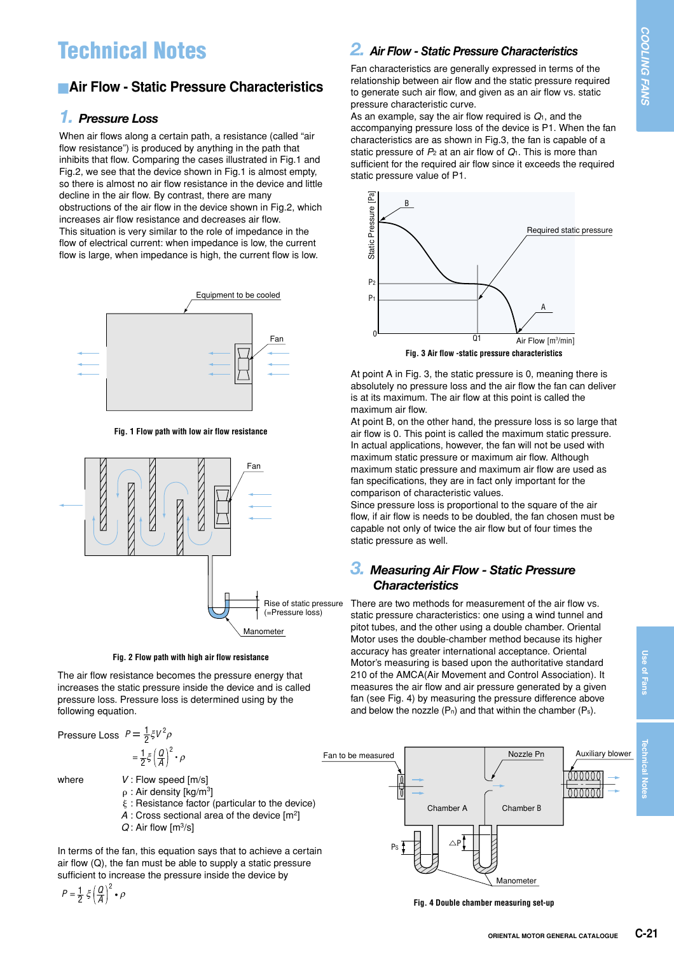# **Technical Notes**

# **Air Flow - Static Pressure Characteristics**

#### *1. Pressure Loss*

When air flows along a certain path, a resistance (called "air flow resistance") is produced by anything in the path that inhibits that flow. Comparing the cases illustrated in Fig.1 and Fig.2, we see that the device shown in Fig.1 is almost empty, so there is almost no air flow resistance in the device and little decline in the air flow. By contrast, there are many obstructions of the air flow in the device shown in Fig.2, which increases air flow resistance and decreases air flow. This situation is very similar to the role of impedance in the flow of electrical current: when impedance is low, the current flow is large, when impedance is high, the current flow is low.



**Fig. 1 Flow path with low air flow resistance**



**Fig. 2 Flow path with high air flow resistance**

The air flow resistance becomes the pressure energy that increases the static pressure inside the device and is called pressure loss. Pressure loss is determined using by the following equation.

Pressure Loss  $P = \frac{1}{2} \xi V^2 \rho$ 

 $=\frac{1}{2}\xi\left(\frac{Q}{A}\right)$ 2 • ρ

where  $V:$  Flow speed [m/s]

 $p: Air density [kg/m<sup>3</sup>]$ 

- $\xi$ : Resistance factor (particular to the device)
- *A* : Cross sectional area of the device [m2]
- *Q* : Air flow [m3/s]

In terms of the fan, this equation says that to achieve a certain air flow (Q), the fan must be able to supply a static pressure sufficient to increase the pressure inside the device by

$$
P=\frac{1}{2}\,\xi\left(\frac{Q}{A}\right)^2\bullet\rho
$$

## *2. Air Flow - Static Pressure Characteristics*

Fan characteristics are generally expressed in terms of the relationship between air flow and the static pressure required to generate such air flow, and given as an air flow vs. static pressure characteristic curve.

As an example, say the air flow required is *Q*1, and the accompanying pressure loss of the device is P1. When the fan characteristics are as shown in Fig.3, the fan is capable of a static pressure of *P*<sup>2</sup> at an air flow of *Q*1. This is more than sufficient for the required air flow since it exceeds the required static pressure value of P1.



At point A in Fig. 3, the static pressure is 0, meaning there is absolutely no pressure loss and the air flow the fan can deliver is at its maximum. The air flow at this point is called the maximum air flow.

At point B, on the other hand, the pressure loss is so large that air flow is 0. This point is called the maximum static pressure. In actual applications, however, the fan will not be used with maximum static pressure or maximum air flow. Although maximum static pressure and maximum air flow are used as fan specifications, they are in fact only important for the comparison of characteristic values.

Since pressure loss is proportional to the square of the air flow, if air flow is needs to be doubled, the fan chosen must be capable not only of twice the air flow but of four times the static pressure as well.

#### *3. Measuring Air Flow - Static Pressure Characteristics*

There are two methods for measurement of the air flow vs. static pressure characteristics: one using a wind tunnel and pitot tubes, and the other using a double chamber. Oriental Motor uses the double-chamber method because its higher accuracy has greater international acceptance. Oriental Motor's measuring is based upon the authoritative standard 210 of the AMCA(Air Movement and Control Association). It measures the air flow and air pressure generated by a given fan (see Fig. 4) by measuring the pressure difference above and below the nozzle  $(P_n)$  and that within the chamber  $(P_s)$ .



**Fig. 4 Double chamber measuring set-up**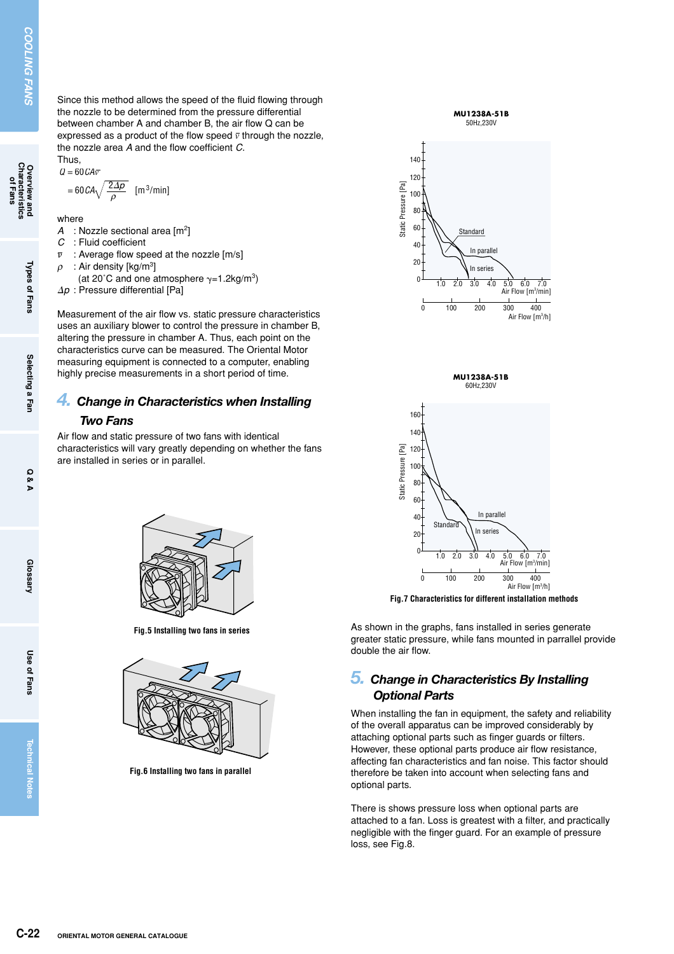$Q = 60 \text{CA} \overline{v}$ 

$$
= 60 \, \text{CA} \sqrt{\frac{2 \Delta p}{\rho}} \quad \text{[m$^3/min]}
$$

where

- *A* : Nozzle sectional area [m2]
- *C* : Fluid coefficient
- $\bar{\nu}$ : Average flow speed at the nozzle [m/s]
- $\rho$  : Air density [kg/m<sup>3</sup>]
- (at 20°C and one atmosphere  $\gamma=1.2$ kg/m<sup>3</sup>)

 $\Delta p$  : Pressure differential [Pa]

**C-22 C-22 ORIENTAL MOTOR GENERAL CATALOGUE**<br> **C-22 C-22 ORIENTAL MOTOR GENERAL CATALOGUE**<br> **C-22 C-22 C-22 ORIENTAL MOTOR GENERAL CATALOGUE**<br> **C-22 ORIENTAL MOTOR GENERAL CATALOGUE**<br> **C-22 ORIENTAL MOT** Measurement of the air flow vs. static pressure characteristics uses an auxiliary blower to control the pressure in chamber B, altering the pressure in chamber A. Thus, each point on the characteristics curve can be measured. The Oriental Motor measuring equipment is connected to a computer, enabling highly precise measurements in a short period of time.

### *4. Change in Characteristics when Installing Two Fans*

Air flow and static pressure of two fans with identical characteristics will vary greatly depending on whether the fans are installed in series or in parallel.



**Fig.5 Installing two fans in series**



**Fig.6 Installing two fans in parallel**







**Fig.7 Characteristics for different installation methods**

As shown in the graphs, fans installed in series generate greater static pressure, while fans mounted in parrallel provide double the air flow.

#### *5. Change in Characteristics By Installing Optional Parts*

When installing the fan in equipment, the safety and reliability of the overall apparatus can be improved considerably by attaching optional parts such as finger guards or filters. However, these optional parts produce air flow resistance, affecting fan characteristics and fan noise. This factor should therefore be taken into account when selecting fans and optional parts.

There is shows pressure loss when optional parts are attached to a fan. Loss is greatest with a filter, and practically negligible with the finger guard. For an example of pressure loss, see Fig.8.

**Use of Fans**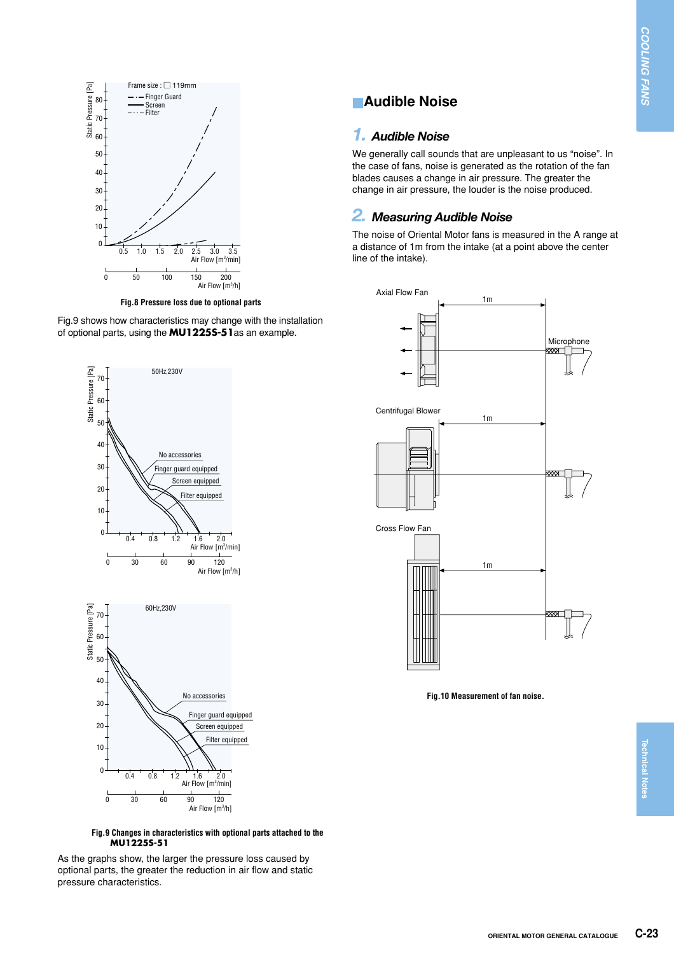

**Fig.8 Pressure loss due to optional parts**

Fig.9 shows how characteristics may change with the installation of optional parts, using the **MU1225S-51**as an example.



**Fig.9 Changes in characteristics with optional parts attached to the MU1225S-51**

As the graphs show, the larger the pressure loss caused by optional parts, the greater the reduction in air flow and static pressure characteristics.

## **Audible Noise**

#### *1. Audible Noise*

We generally call sounds that are unpleasant to us "noise". In the case of fans, noise is generated as the rotation of the fan blades causes a change in air pressure. The greater the change in air pressure, the louder is the noise produced.

## *2. Measuring Audible Noise*

The noise of Oriental Motor fans is measured in the A range at a distance of 1m from the intake (at a point above the center line of the intake).



**Fig.10 Measurement of fan noise.**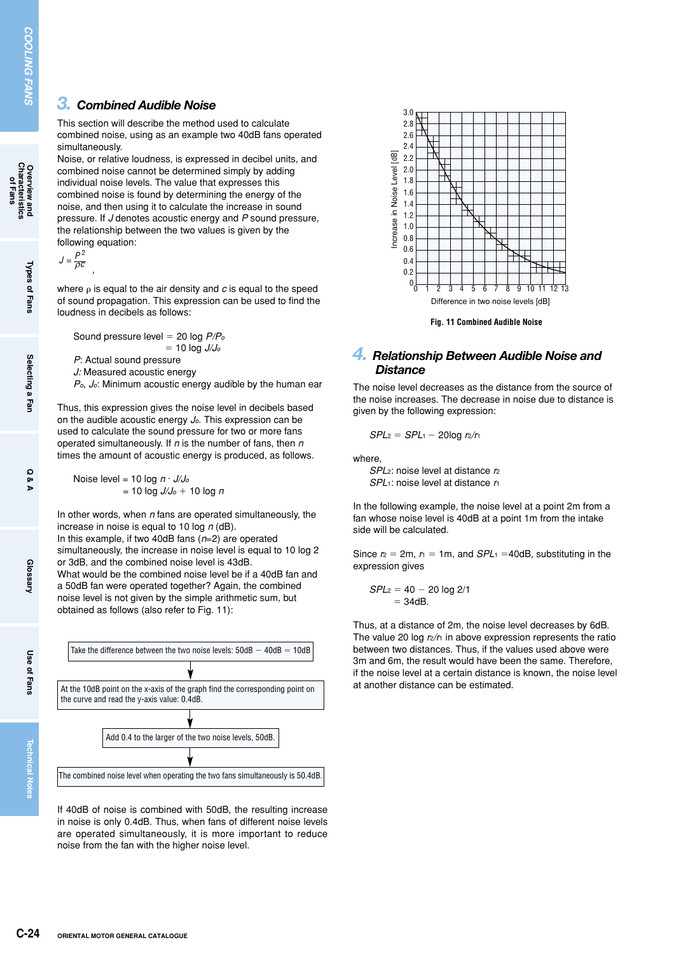#### *3. Combined Audible Noise*

This section will describe the method used to calculate combined noise, using as an example two 40dB fans operated simultaneously.

Noise, or relative loudness, is expressed in decibel units, and combined noise cannot be determined simply by adding individual noise levels. The value that expresses this combined noise is found by determining the energy of the noise, and then using it to calculate the increase in sound pressure. If *J* denotes acoustic energy and *P* sound pressure, the relationship between the two values is given by the following equation:

,  $J = \frac{P^2}{\rho c}$ 

where  $\rho$  is equal to the air density and  $c$  is equal to the speed of sound propagation. This expression can be used to find the loudness in decibels as follows:

Sound pressure level 20 log *P/Po*  $= 10$  log  $J/J_0$ *P*: Actual sound pressure *J:* Measured acoustic energy *Po*, *Jo*: Minimum acoustic energy audible by the human ear

Thus, this expression gives the noise level in decibels based on the audible acoustic energy *Jo*. This expression can be used to calculate the sound pressure for two or more fans operated simultaneously. If *n* is the number of fans, then *n* times the amount of acoustic energy is produced, as follows.

Noise level = 10 log *n* · *J/Jo*  $= 10 \log J/J_0 + 10 \log n$ 

In other words, when *n* fans are operated simultaneously, the increase in noise is equal to 10 log *n* (dB). In this example, if two 40dB fans (*n*=2) are operated

simultaneously, the increase in noise level is equal to 10 log 2 or 3dB, and the combined noise level is 43dB. What would be the combined noise level be if a 40dB fan and a 50dB fan were operated together? Again, the combined noise level is not given by the simple arithmetic sum, but obtained as follows (also refer to Fig. 11):



If 40dB of noise is combined with 50dB, the resulting increase in noise is only 0.4dB. Thus, when fans of different noise levels are operated simultaneously, it is more important to reduce noise from the fan with the higher noise level.



**Fig. 11 Combined Audible Noise**

#### *4. Relationship Between Audible Noise and Distance*

The noise level decreases as the distance from the source of the noise increases. The decrease in noise due to distance is given by the following expression:

$$
SPL_2 = SPL_1 - 20\log r_2/r_1
$$

where,

*SPL*2: noise level at distance *r*<sup>2</sup> *SPL*1: noise level at distance *r*<sup>1</sup>

In the following example, the noise level at a point 2m from a fan whose noise level is 40dB at a point 1m from the intake side will be calculated.

Since  $r_2 = 2m$ ,  $r_1 = 1m$ , and  $SPL_1 = 40dB$ , substituting in the expression gives

$$
SPL_2 = 40 - 20 \log 2/1
$$
  
= 34dB.

Thus, at a distance of 2m, the noise level decreases by 6dB. The value 20 log  $r_2/r_1$  in above expression represents the ratio between two distances. Thus, if the values used above were 3m and 6m, the result would have been the same. Therefore, if the noise level at a certain distance is known, the noise level

**Overview and<br>Characteristics**<br>of Fans

**Selecting a Fan**

**Use of Fans**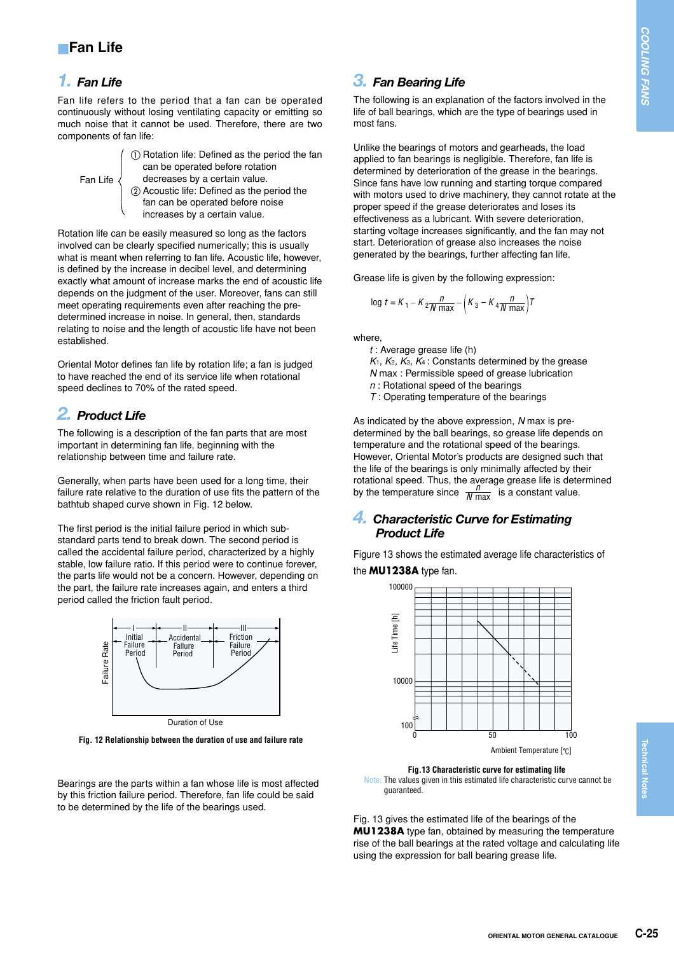## *1. Fan Life*

Fan life refers to the period that a fan can be operated continuously without losing ventilating capacity or emitting so much noise that it cannot be used. Therefore, there are two components of fan life:

| Fan Life $\langle$ | (1) Rotation life: Defined as the period the fan<br>can be operated before rotation<br>decreases by a certain value.<br>2. Acoustic life: Defined as the period the |
|--------------------|---------------------------------------------------------------------------------------------------------------------------------------------------------------------|
|                    | fan can be operated before noise                                                                                                                                    |

increases by a certain value.

Rotation life can be easily measured so long as the factors involved can be clearly specified numerically; this is usually what is meant when referring to fan life. Acoustic life, however, is defined by the increase in decibel level, and determining exactly what amount of increase marks the end of acoustic life depends on the judgment of the user. Moreover, fans can still meet operating requirements even after reaching the predetermined increase in noise. In general, then, standards relating to noise and the length of acoustic life have not been established.

Oriental Motor defines fan life by rotation life; a fan is judged to have reached the end of its service life when rotational speed declines to 70% of the rated speed.

# *2. Product Life*

The following is a description of the fan parts that are most important in determining fan life, beginning with the relationship between time and failure rate.

Generally, when parts have been used for a long time, their failure rate relative to the duration of use fits the pattern of the bathtub shaped curve shown in Fig. 12 below.

The first period is the initial failure period in which substandard parts tend to break down. The second period is called the accidental failure period, characterized by a highly stable, low failure ratio. If this period were to continue forever, the parts life would not be a concern. However, depending on the part, the failure rate increases again, and enters a third period called the friction fault period.



Duration of Use

**Fig. 12 Relationship between the duration of use and failure rate**

Bearings are the parts within a fan whose life is most affected by this friction failure period. Therefore, fan life could be said to be determined by the life of the bearings used.

## *3. Fan Bearing Life*

The following is an explanation of the factors involved in the life of ball bearings, which are the type of bearings used in most fans.

Unlike the bearings of motors and gearheads, the load applied to fan bearings is negligible. Therefore, fan life is determined by deterioration of the grease in the bearings. Since fans have low running and starting torque compared with motors used to drive machinery, they cannot rotate at the proper speed if the grease deteriorates and loses its effectiveness as a lubricant. With severe deterioration, starting voltage increases significantly, and the fan may not start. Deterioration of grease also increases the noise generated by the bearings, further affecting fan life.

Grease life is given by the following expression:

$$
\log t = K_1 - K_2 \frac{n}{N \max} - \left(K_3 - K_4 \frac{n}{N \max}\right)T
$$

where,

- *t* : Average grease life (h)
- *K*1, *K*2, *K*3, *K*4 : Constants determined by the grease *N* max : Permissible speed of grease lubrication
- *n* : Rotational speed of the bearings
- *T* : Operating temperature of the bearings

As indicated by the above expression, *N* max is predetermined by the ball bearings, so grease life depends on temperature and the rotational speed of the bearings. However, Oriental Motor's products are designed such that the life of the bearings is only minimally affected by their rotational speed. Thus, the average grease life is determined by the temperature since  $\frac{n}{N \max}$  is a constant value.

#### *4. Characteristic Curve for Estimating Product Life*

Figure 13 shows the estimated average life characteristics of the **MU1238A** type fan.



**Fig.13 Characteristic curve for estimating life** 

Note: The values given in this estimated life characteristic curve cannot be guaranteed.

Fig. 13 gives the estimated life of the bearings of the **MU1238A** type fan, obtained by measuring the temperature rise of the ball bearings at the rated voltage and calculating life using the expression for ball bearing grease life.